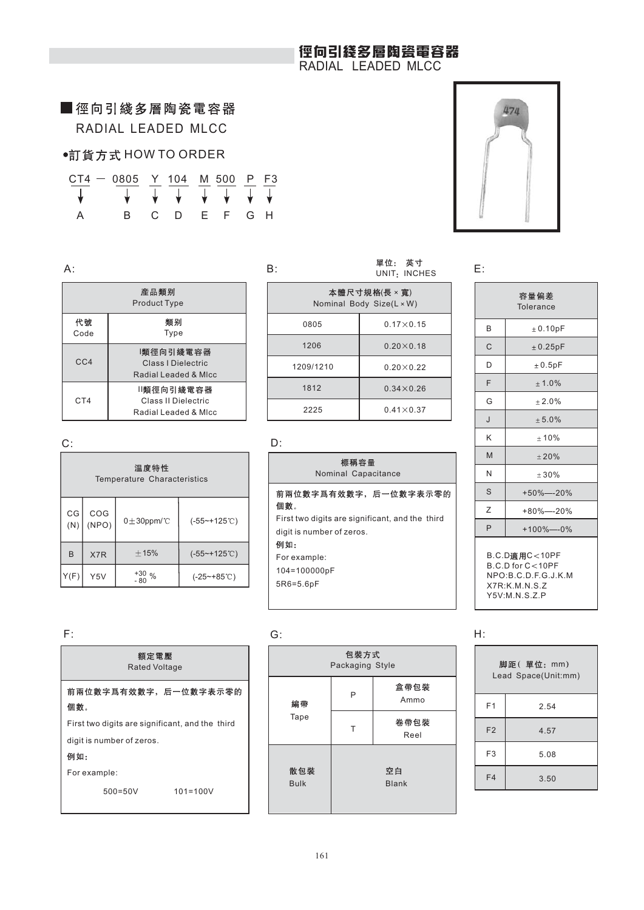# 徑向引綫多層陶瓷電容器<br>RADIAL LEADED MLCC

# ■徑向引綫多層陶瓷電容器

RADIAL LEADED MLCC

## ●訂貨方式HOW TO ORDER

| CT4 - 0805 Y 104 M 500 P F3 |  |               |  |  |
|-----------------------------|--|---------------|--|--|
|                             |  |               |  |  |
|                             |  | B C D E F G H |  |  |

#### A:

| 産品類别<br><b>Product Type</b> |                                                         |  |  |  |  |  |  |
|-----------------------------|---------------------------------------------------------|--|--|--|--|--|--|
| 代號<br>Code                  | 類别<br>Type                                              |  |  |  |  |  |  |
| CCA                         | 類徑向引綫電容器<br>Class   Dielectric<br>Radial Leaded & MIcc  |  |  |  |  |  |  |
| C <sub>T</sub> 4            | 類徑向引綫電容器<br>Class II Dielectric<br>Radial Leaded & MIcc |  |  |  |  |  |  |

C:

| 温度特性<br>Temperature Characteristics |              |                                 |                             |  |  |  |  |  |  |
|-------------------------------------|--------------|---------------------------------|-----------------------------|--|--|--|--|--|--|
| CG<br>(N)                           | COG<br>(NPO) | $0 \pm 30$ ppm/°C               | $(-55 - 125^{\circ}C)$      |  |  |  |  |  |  |
| B                                   | X7R          | ±15%                            | $(-55 - 125^{\circ}C)$      |  |  |  |  |  |  |
| Y(F)                                | Y5V          | $^{+30}_{-80}$<br>$\frac{0}{0}$ | $(-25 - 85^\circ \text{C})$ |  |  |  |  |  |  |

D:

For example: 104=100000pF 5R6=5.6pF

| B:        | ----<br>UNIT: INCHES                      |
|-----------|-------------------------------------------|
|           | 本體尺寸規格(長 × 寬)<br>Nominal Body Size(L × W) |
| 0805      | $0.17 \times 0.15$                        |
| 1206      | $0.20 \times 0.18$                        |
| 1209/1210 | $0.20 \times 0.22$                        |
| 1812      | $0.34 \times 0.26$                        |
| 2225      | $0.41 \times 0.37$                        |

| 2225                             | $0.41 \times 0.37$                              |
|----------------------------------|-------------------------------------------------|
|                                  |                                                 |
| 標稱容量<br>Nominal Capacitance      |                                                 |
| 個數。                              | 前兩位數字爲有效數字,后一位數字表示零的                            |
| digit is number of zeros.<br>例如: | First two digits are significant, and the third |



E:

| 容量偏差<br>Tolerance                                                           |                 |  |  |  |  |  |  |
|-----------------------------------------------------------------------------|-----------------|--|--|--|--|--|--|
| B                                                                           | $\pm$ 0.10pF    |  |  |  |  |  |  |
| C                                                                           | ±0.25pF         |  |  |  |  |  |  |
| D                                                                           | ±0.5pF          |  |  |  |  |  |  |
| F                                                                           | ± 1.0%          |  |  |  |  |  |  |
| G                                                                           | ± 2.0%          |  |  |  |  |  |  |
| J                                                                           | ± 5.0%          |  |  |  |  |  |  |
| K                                                                           | ±10%            |  |  |  |  |  |  |
| M                                                                           | ± 20%           |  |  |  |  |  |  |
| N                                                                           | ± 30%           |  |  |  |  |  |  |
| S                                                                           | $+50\% - 20\%$  |  |  |  |  |  |  |
| Z                                                                           | $+80% - -20%$   |  |  |  |  |  |  |
| P                                                                           | $+100\% - -0\%$ |  |  |  |  |  |  |
| B.C.D滴用C<10PF<br>B.C.D for C < 10PF<br>NPO:B.C.D.F.G.J.K.M<br>X7R:K.M.N.S.Z |                 |  |  |  |  |  |  |

F:

| 額定電壓<br><b>Rated Voltage</b>                    |  |  |  |  |  |  |  |  |  |
|-------------------------------------------------|--|--|--|--|--|--|--|--|--|
| 前兩位數字爲有效數字,后一位數字表示零的<br>個數。                     |  |  |  |  |  |  |  |  |  |
| First two digits are significant, and the third |  |  |  |  |  |  |  |  |  |
| digit is number of zeros.                       |  |  |  |  |  |  |  |  |  |
| 例如:                                             |  |  |  |  |  |  |  |  |  |
| For example:                                    |  |  |  |  |  |  |  |  |  |
| 500=50V<br>$101 = 100V$                         |  |  |  |  |  |  |  |  |  |

G:

| 包裝方式<br>Packaging Style |  |                    |  |  |  |  |  |  |  |
|-------------------------|--|--------------------|--|--|--|--|--|--|--|
| 編帶                      |  | 盒帶包裝<br>Ammo       |  |  |  |  |  |  |  |
| Tape                    |  | 卷帶包裝<br>Reel       |  |  |  |  |  |  |  |
| 散包裝<br><b>Bulk</b>      |  | 空白<br><b>Blank</b> |  |  |  |  |  |  |  |

H:

| yle<br>盒帶包裝        |                | 脚距(單位: mm)<br>Lead Space(Unit:mm) |
|--------------------|----------------|-----------------------------------|
| Ammo               | F <sub>1</sub> | 2.54                              |
| 卷帶包裝<br>Reel       | F <sub>2</sub> | 4.57                              |
|                    | F <sub>3</sub> | 5.08                              |
| 空白<br><b>Blank</b> | F <sub>4</sub> | 3.50                              |

Y5V:M.N.S.Z.P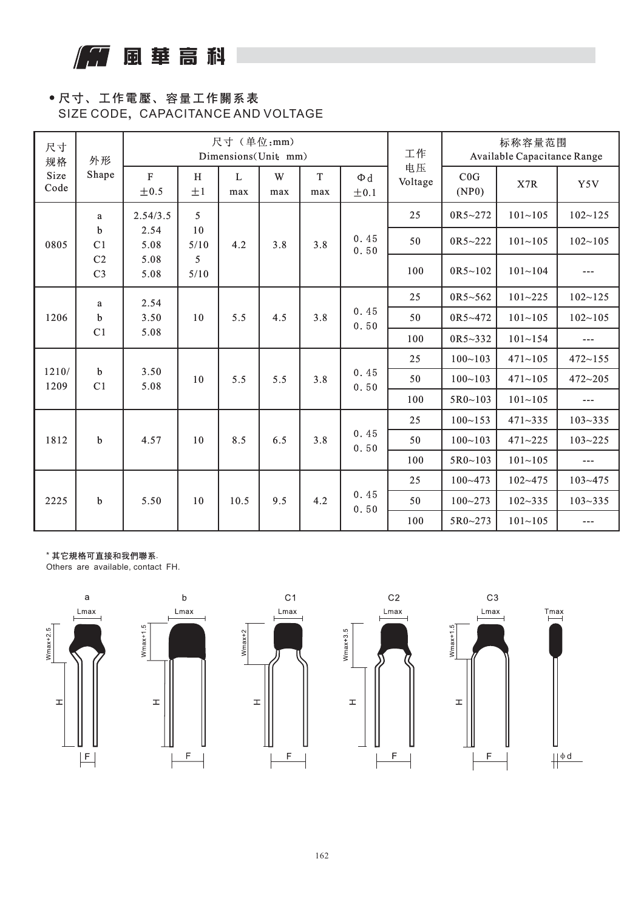#### **IF** 風華高科

### • 尺寸、工作電壓、容量工作關系表 SIZE CODE, CAPACITANCE AND VOLTAGE

| 尺寸<br>规格              | 尺寸(单位:mm)<br>Dimensions(Unit. mm)<br>外形 |                             |            |          |            |                    | 工作                    | 标称容量范围<br>Available Capacitance Range |              |             |              |             |             |              |             |             |
|-----------------------|-----------------------------------------|-----------------------------|------------|----------|------------|--------------------|-----------------------|---------------------------------------|--------------|-------------|--------------|-------------|-------------|--------------|-------------|-------------|
| Shape<br>Size<br>Code |                                         | $\overline{F}$<br>$\pm 0.5$ | H<br>±1    | L<br>max | W<br>max   | $\mathbf T$<br>max | $\Phi$ d<br>$\pm 0.1$ | 电压<br>Voltage                         | COG<br>(NP0) | X7R         | Y5V          |             |             |              |             |             |
|                       | a                                       | 2.54/3.5                    | 5          |          |            |                    |                       | 25                                    | 0R5~272      | $101 - 105$ | $102 - 125$  |             |             |              |             |             |
| 0805                  | $\mathbf b$<br>C <sub>1</sub>           | 2.54<br>5.08                | 10<br>5/10 | 4.2      | 3.8        | 3.8                | 0.45<br>0.50          | 50                                    | 0R5~222      | $101 - 105$ | $102 - 105$  |             |             |              |             |             |
|                       | C <sub>2</sub><br>C <sub>3</sub>        | 5.08<br>5.08                | 5<br>5/10  |          |            |                    |                       | 100                                   | $0R5 - 102$  | $101 - 104$ |              |             |             |              |             |             |
|                       | a                                       | 2.54                        |            |          | 4.5<br>3.8 |                    |                       |                                       | 25           | $0R5 - 562$ | $101 - 225$  | $102 - 125$ |             |              |             |             |
| 1206                  | $\mathbf b$                             | 3.50                        | 10         | 5.5      |            |                    |                       |                                       |              |             |              |             |             | 0.45<br>0.50 | 50          | $0R5 - 472$ |
|                       | C1<br>5.08                              |                             |            |          |            | 100                | 0R5~332               | $101 - 154$                           | $---$        |             |              |             |             |              |             |             |
|                       |                                         |                             |            |          |            | 3.8                |                       |                                       | 25           | $100 - 103$ | $471 - 105$  | $472 - 155$ |             |              |             |             |
| 1210/<br>1209         | $\mathbf b$<br>C1                       | 3.50<br>5.08                | 10         | 5.5      | 5.5        |                    |                       |                                       |              |             | 0.45<br>0.50 | 50          | $100 - 103$ | $471 - 105$  | $472 - 205$ |             |
|                       |                                         |                             |            |          |            |                    |                       | 100                                   | $5R0 - 103$  | $101 - 105$ | $---$        |             |             |              |             |             |
|                       |                                         |                             |            |          |            | 3.8                |                       | 25                                    | $100 - 153$  | $471 - 335$ | $103 - 335$  |             |             |              |             |             |
| 1812                  | $\mathbf b$                             | 4.57                        | 10         | 8.5      | 6.5        |                    | 0.45<br>0.50          | 50                                    | $100 - 103$  | $471 - 225$ | $103 - 225$  |             |             |              |             |             |
|                       |                                         |                             |            |          |            |                    |                       | 100                                   | 5R0~103      | $101 - 105$ | $---$        |             |             |              |             |             |
|                       |                                         |                             |            |          |            |                    |                       | 25                                    | $100 - 473$  | $102 - 475$ | $103 - 475$  |             |             |              |             |             |
| 2225                  | $\mathbf b$                             | 5.50                        | 10         | 10.5     | 9.5        | 4.2                | 0.45<br>0.50          | 50                                    | $100 - 273$  | $102 - 335$ | $103 - 335$  |             |             |              |             |             |
|                       |                                         |                             |            |          |            |                    |                       | 100                                   | 5R0~273      | $101 - 105$ | $---$        |             |             |              |             |             |

\* 其它規格可直接和我們聯系.

Others are available, contact FH.